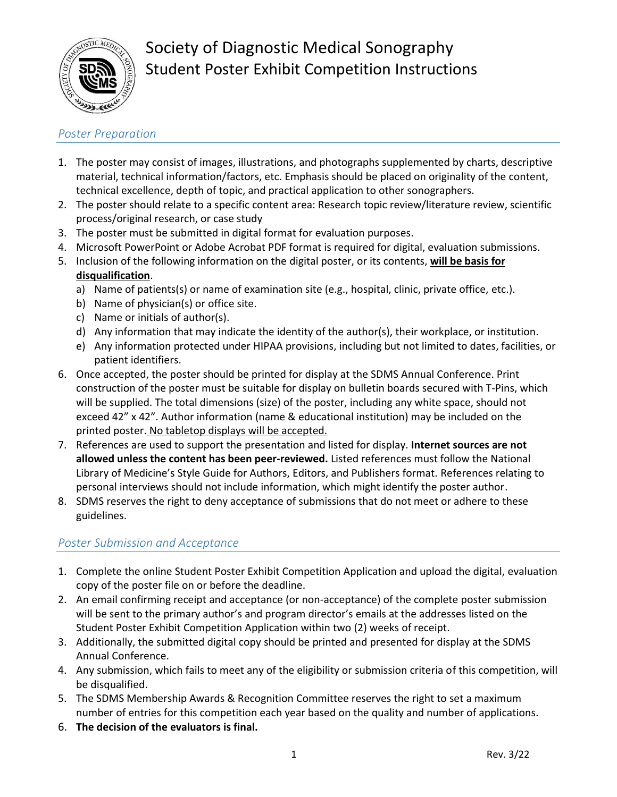

# Society of Diagnostic Medical Sonography Student Poster Exhibit Competition Instructions

### *Poster Preparation*

- 1. The poster may consist of images, illustrations, and photographs supplemented by charts, descriptive material, technical information/factors, etc. Emphasis should be placed on originality of the content, technical excellence, depth of topic, and practical application to other sonographers.
- 2. The poster should relate to a specific content area: Research topic review/literature review, scientific process/original research, or case study
- 3. The poster must be submitted in digital format for evaluation purposes.
- 4. Microsoft PowerPoint or Adobe Acrobat PDF format is required for digital, evaluation submissions.
- 5. Inclusion of the following information on the digital poster, or its contents, **will be basis for disqualification**.
	- a) Name of patients(s) or name of examination site (e.g., hospital, clinic, private office, etc.).
	- b) Name of physician(s) or office site.
	- c) Name or initials of author(s).
	- d) Any information that may indicate the identity of the author(s), their workplace, or institution.
	- e) Any information protected under HIPAA provisions, including but not limited to dates, facilities, or patient identifiers.
- 6. Once accepted, the poster should be printed for display at the SDMS Annual Conference. Print construction of the poster must be suitable for display on bulletin boards secured with T-Pins, which will be supplied. The total dimensions (size) of the poster, including any white space, should not exceed 42" x 42". Author information (name & educational institution) may be included on the printed poster. No tabletop displays will be accepted.
- 7. References are used to support the presentation and listed for display. **Internet sources are not allowed unless the content has been peer-reviewed.** Listed references must follow the National Library of Medicine's Style Guide for Authors, Editors, and Publishers format. References relating to personal interviews should not include information, which might identify the poster author.
- 8. SDMS reserves the right to deny acceptance of submissions that do not meet or adhere to these guidelines.

### *Poster Submission and Acceptance*

- 1. Complete the online Student Poster Exhibit Competition Application and upload the digital, evaluation copy of the poster file on or before the deadline.
- 2. An email confirming receipt and acceptance (or non-acceptance) of the complete poster submission will be sent to the primary author's and program director's emails at the addresses listed on the Student Poster Exhibit Competition Application within two (2) weeks of receipt.
- 3. Additionally, the submitted digital copy should be printed and presented for display at the SDMS Annual Conference.
- 4. Any submission, which fails to meet any of the eligibility or submission criteria of this competition, will be disqualified.
- 5. The SDMS Membership Awards & Recognition Committee reserves the right to set a maximum number of entries for this competition each year based on the quality and number of applications.
- 6. **The decision of the evaluators is final.**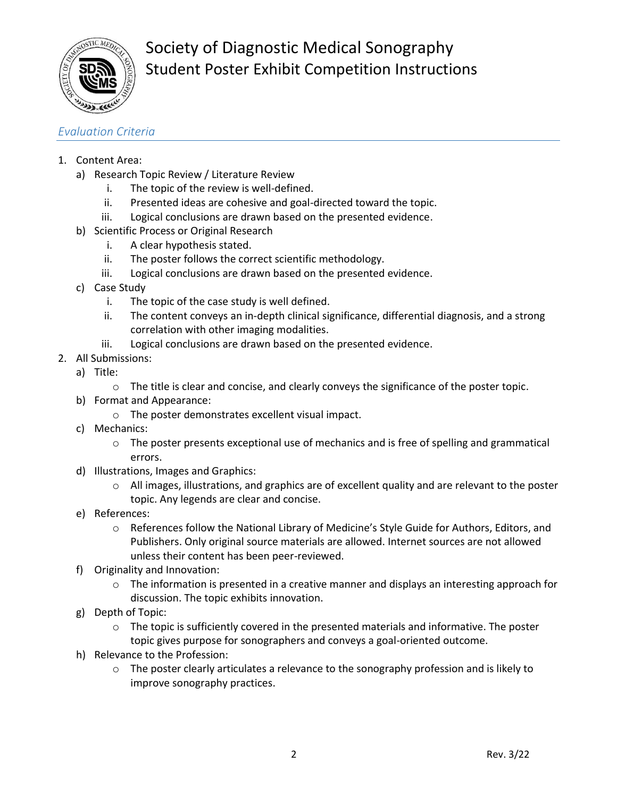

Society of Diagnostic Medical Sonography Student Poster Exhibit Competition Instructions

#### *Evaluation Criteria*

- 1. Content Area:
	- a) Research Topic Review / Literature Review
		- i. The topic of the review is well-defined.
		- ii. Presented ideas are cohesive and goal-directed toward the topic.
		- iii. Logical conclusions are drawn based on the presented evidence.
	- b) Scientific Process or Original Research
		- i. A clear hypothesis stated.
		- ii. The poster follows the correct scientific methodology.
		- iii. Logical conclusions are drawn based on the presented evidence.
	- c) Case Study
		- i. The topic of the case study is well defined.
		- ii. The content conveys an in-depth clinical significance, differential diagnosis, and a strong correlation with other imaging modalities.
		- iii. Logical conclusions are drawn based on the presented evidence.
- 2. All Submissions:
	- a) Title:
		- o The title is clear and concise, and clearly conveys the significance of the poster topic.
	- b) Format and Appearance:
		- o The poster demonstrates excellent visual impact.
	- c) Mechanics:
		- o The poster presents exceptional use of mechanics and is free of spelling and grammatical errors.
	- d) Illustrations, Images and Graphics:
		- o All images, illustrations, and graphics are of excellent quality and are relevant to the poster topic. Any legends are clear and concise.
	- e) References:
		- $\circ$  References follow the National Library of Medicine's Style Guide for Authors, Editors, and Publishers. Only original source materials are allowed. Internet sources are not allowed unless their content has been peer-reviewed.
	- f) Originality and Innovation:
		- $\circ$  The information is presented in a creative manner and displays an interesting approach for discussion. The topic exhibits innovation.
	- g) Depth of Topic:
		- $\circ$  The topic is sufficiently covered in the presented materials and informative. The poster topic gives purpose for sonographers and conveys a goal-oriented outcome.
	- h) Relevance to the Profession:
		- $\circ$  The poster clearly articulates a relevance to the sonography profession and is likely to improve sonography practices.